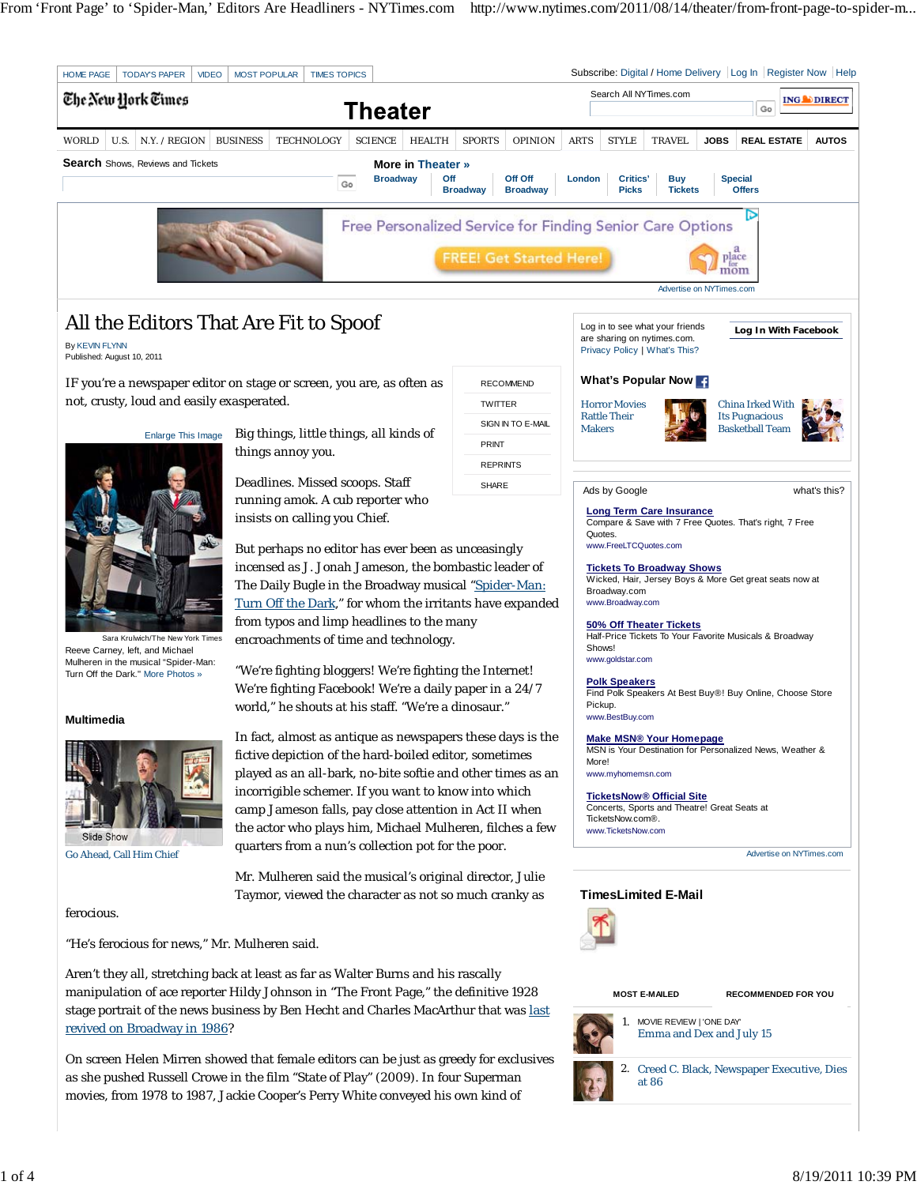

# All the Editors That Are Fit to Spoof

By KEVIN FLYNN Published: August 10, 2011

IF you're a newspaper editor on stage or screen, you are, as often as not, crusty, loud and easily exasperated.

things annoy you.

Big things, little things, all kinds of

But perhaps no editor has ever been as unceasingly incensed as J. Jonah Jameson, the bombastic leader of The Daily Bugle in the Broadway musical "Spider-Man: Turn Off the Dark," for whom the irritants have expanded

"We're fighting bloggers! We're fighting the Internet! We're fighting Facebook! We're a daily paper in a 24/7 world," he shouts at his staff. "We're a dinosaur."

In fact, almost as antique as newspapers these days is the fictive depiction of the hard-boiled editor, sometimes played as an all-bark, no-bite softie and other times as an incorrigible schemer. If you want to know into which camp Jameson falls, pay close attention in Act II when the actor who plays him, Michael Mulheren, filches a few

quarters from a nun's collection pot for the poor.

Mr. Mulheren said the musical's original director, Julie Taymor, viewed the character as not so much cranky as

from typos and limp headlines to the many encroachments of time and technology.

Deadlines. Missed scoops. Staff running amok. A cub reporter who insists on calling you Chief.



Sara Krulwich/The New York Times Reeve Carney, left, and Michael Mulheren in the musical "Spider-Man: Turn Off the Dark." More Photos »

#### **Multimedia**



Go Ahead, Call Him Chief

ferocious.

"He's ferocious for news," Mr. Mulheren said.

Aren't they all, stretching back at least as far as Walter Burns and his rascally manipulation of ace reporter Hildy Johnson in "The Front Page," the definitive 1928 stage portrait of the news business by Ben Hecht and Charles MacArthur that was last revived on Broadway in 1986?

On screen Helen Mirren showed that female editors can be just as greedy for exclusives as she pushed Russell Crowe in the film "State of Play" (2009). In four Superman movies, from 1978 to 1987, Jackie Cooper's Perry White conveyed his own kind of

Horror Movies Rattle Their Makers are sharing on nytimes.com. Privacy Policy | What's This? **What's Popular Now**  SIGN IN TO E-MAIL RECOMMEND TWITTER

PRINT REPRINTS **SHARE** 



Log in to see what your friends



**Log In With Facebook**

Ads by Google what's this?

**Long Term Care Insurance** Compare & Save with 7 Free Quotes. That's right, 7 Free **Quotes** www.FreeLTCQuotes.com

**Tickets To Broadway Shows** Wicked, Hair, Jersey Boys & More Get great seats now at Broadway.com www.Broadway.com

**50% Off Theater Tickets** Half-Price Tickets To Your Favorite Musicals & Broadway Shows! www.goldstar.com

**Polk Speakers**

Find Polk Speakers At Best Buy®! Buy Online, Choose Store Pickup. www.BestBuy.com

**Make MSN® Your Homepage** MSN is Your Destination for Personalized News, Weather & More! www.myhomemsn.com

**TicketsNow® Official Site** Concerts, Sports and Theatre! Great Seats at TicketsNow.com®. www.TicketsNow.com

Advertise on NYTimes.com

### **TimesLimited E-Mail**



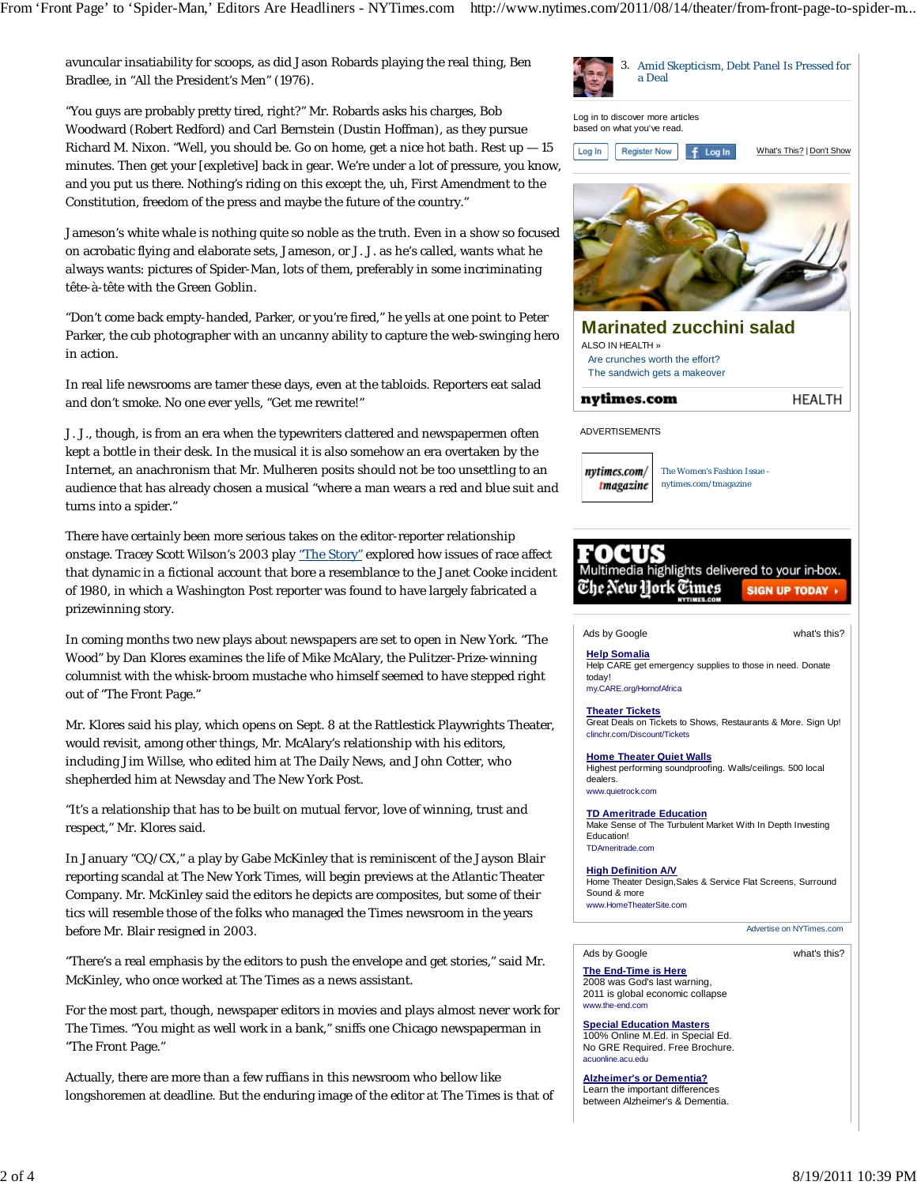avuncular insatiability for scoops, as did Jason Robards playing the real thing, Ben Bradlee, in "All the President's Men" (1976).

"You guys are probably pretty tired, right?" Mr. Robards asks his charges, Bob Woodward (Robert Redford) and Carl Bernstein (Dustin Hoffman), as they pursue Richard M. Nixon. "Well, you should be. Go on home, get a nice hot bath. Rest up — 15 minutes. Then get your [expletive] back in gear. We're under a lot of pressure, you know, and you put us there. Nothing's riding on this except the, uh, First Amendment to the Constitution, freedom of the press and maybe the future of the country."

Jameson's white whale is nothing quite so noble as the truth. Even in a show so focused on acrobatic flying and elaborate sets, Jameson, or J. J. as he's called, wants what he always wants: pictures of Spider-Man, lots of them, preferably in some incriminating tête-à-tête with the Green Goblin.

"Don't come back empty-handed, Parker, or you're fired," he yells at one point to Peter Parker, the cub photographer with an uncanny ability to capture the web-swinging hero in action.

In real life newsrooms are tamer these days, even at the tabloids. Reporters eat salad and don't smoke. No one ever yells, "Get me rewrite!"

J. J., though, is from an era when the typewriters clattered and newspapermen often kept a bottle in their desk. In the musical it is also somehow an era overtaken by the Internet, an anachronism that Mr. Mulheren posits should not be too unsettling to an audience that has already chosen a musical "where a man wears a red and blue suit and turns into a spider."

There have certainly been more serious takes on the editor-reporter relationship onstage. Tracey Scott Wilson's 2003 play "The Story" explored how issues of race affect that dynamic in a fictional account that bore a resemblance to the Janet Cooke incident of 1980, in which a Washington Post reporter was found to have largely fabricated a prizewinning story.

In coming months two new plays about newspapers are set to open in New York. "The Wood" by Dan Klores examines the life of Mike McAlary, the Pulitzer-Prize-winning columnist with the whisk-broom mustache who himself seemed to have stepped right out of "The Front Page."

Mr. Klores said his play, which opens on Sept. 8 at the Rattlestick Playwrights Theater, would revisit, among other things, Mr. McAlary's relationship with his editors, including Jim Willse, who edited him at The Daily News, and John Cotter, who shepherded him at Newsday and The New York Post.

"It's a relationship that has to be built on mutual fervor, love of winning, trust and respect," Mr. Klores said.

In January "CQ/CX," a play by Gabe McKinley that is reminiscent of the Jayson Blair reporting scandal at The New York Times, will begin previews at the Atlantic Theater Company. Mr. McKinley said the editors he depicts are composites, but some of their tics will resemble those of the folks who managed the Times newsroom in the years before Mr. Blair resigned in 2003.

"There's a real emphasis by the editors to push the envelope and get stories," said Mr. McKinley, who once worked at The Times as a news assistant.

For the most part, though, newspaper editors in movies and plays almost never work for The Times. "You might as well work in a bank," sniffs one Chicago newspaperman in "The Front Page."

Actually, there are more than a few ruffians in this newsroom who bellow like longshoremen at deadline. But the enduring image of the editor at The Times is that of



3. Amid Skepticism, Debt Panel Is Pressed for

a Deal

ADVERTISEMENTS

nytimes.com/ *Imagazine* 

The Women's Fashion Issue nytimes.com/tmagazine

## cus Multimedia highlights delivered to your in-box. The New Hork Times **SIGN UP TODAY**

Ads by Google **by Coogle Ads** by Google **what's this?** 

# **Help Somalia**

Help CARE get emergency supplies to those in need. Donate today!

my.CARE.org/HornofAfrica

**Theater Tickets** Great Deals on Tickets to Shows, Restaurants & More. Sign Up! clinchr.com/Discount/Tickets

**Home Theater Quiet Walls** Highest performing soundproofing. Walls/ceilings. 500 local dealers.

www.quietrock.com

**TD Ameritrade Education** Make Sense of The Turbulent Market With In Depth Investing Education! TDAmeritrade.com

**High Definition A/V** Home Theater Design, Sales & Service Flat Screens, Surround Sound & more www.HomeTheaterSite.com

Advertise on NYTimes.com

Ads by Google what's this?

**The End-Time is Here** 2008 was God's last warning, 2011 is global economic collapse www.the-end.com

**Special Education Masters** 100% Online M.Ed. in Special Ed. No GRE Required. Free Brochure. acuonline.acu.edu

**Alzheimer's or Dementia?** Learn the important differences between Alzheimer's & Dementia.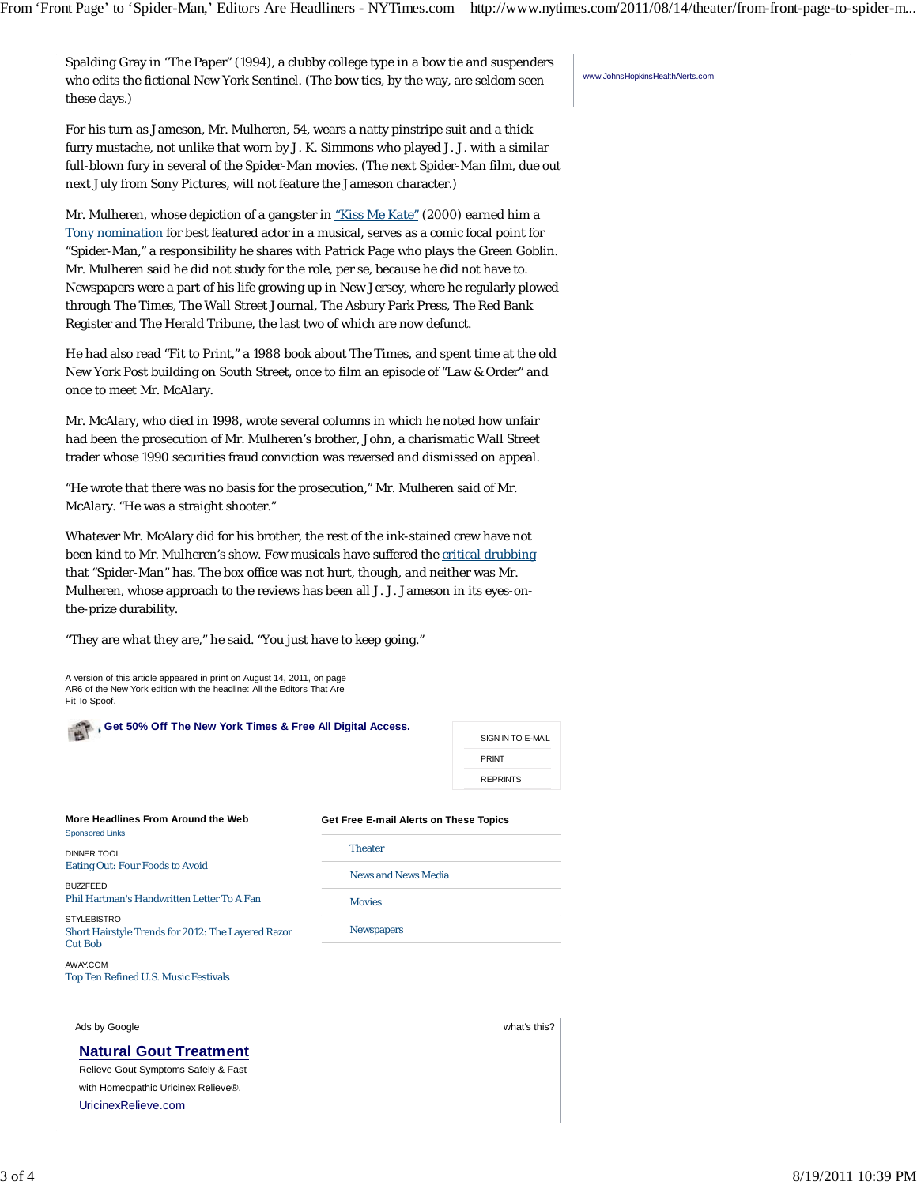Spalding Gray in "The Paper" (1994), a clubby college type in a bow tie and suspenders who edits the fictional New York Sentinel. (The bow ties, by the way, are seldom seen these days.)

For his turn as Jameson, Mr. Mulheren, 54, wears a natty pinstripe suit and a thick furry mustache, not unlike that worn by J. K. Simmons who played J. J. with a similar full-blown fury in several of the Spider-Man movies. (The next Spider-Man film, due out next July from Sony Pictures, will not feature the Jameson character.)

Mr. Mulheren, whose depiction of a gangster in "Kiss Me Kate" (2000) earned him a Tony nomination for best featured actor in a musical, serves as a comic focal point for "Spider-Man," a responsibility he shares with Patrick Page who plays the Green Goblin. Mr. Mulheren said he did not study for the role, per se, because he did not have to. Newspapers were a part of his life growing up in New Jersey, where he regularly plowed through The Times, The Wall Street Journal, The Asbury Park Press, The Red Bank Register and The Herald Tribune, the last two of which are now defunct.

He had also read "Fit to Print," a 1988 book about The Times, and spent time at the old New York Post building on South Street, once to film an episode of "Law & Order" and once to meet Mr. McAlary.

Mr. McAlary, who died in 1998, wrote several columns in which he noted how unfair had been the prosecution of Mr. Mulheren's brother, John, a charismatic Wall Street trader whose 1990 securities fraud conviction was reversed and dismissed on appeal.

"He wrote that there was no basis for the prosecution," Mr. Mulheren said of Mr. McAlary. "He was a straight shooter."

Whatever Mr. McAlary did for his brother, the rest of the ink-stained crew have not been kind to Mr. Mulheren's show. Few musicals have suffered the critical drubbing that "Spider-Man" has. The box office was not hurt, though, and neither was Mr. Mulheren, whose approach to the reviews has been all J. J. Jameson in its eyes-onthe-prize durability.

"They are what they are," he said. "You just have to keep going."

A version of this article appeared in print on August 14, 2011, on page AR6 of the New York edition with the headline: All the Editors That Are Fit To Spoof.

 **Get 50% Off The New York Times & Free All Digital Access.**

| SIGN IN TO E-MAIL |
|-------------------|
| <b>PRINT</b>      |
| <b>REPRINTS</b>   |
|                   |

| More Headlines From Around the Web<br><b>Sponsored Links</b>         | Get Free E-mail Alerts on These Topics<br><b>Theater</b> |  |
|----------------------------------------------------------------------|----------------------------------------------------------|--|
| DINNER TOOL<br><b>Eating Out: Four Foods to Avoid</b>                |                                                          |  |
| <b>BUZZFEED</b><br>Phil Hartman's Handwritten Letter To A Fan        | <b>News and News Media</b><br><b>Movies</b>              |  |
| <b>STYLEBISTRO</b>                                                   |                                                          |  |
| Short Hairstyle Trends for 2012: The Layered Razor<br><b>Cut Bob</b> | <b>Newspapers</b>                                        |  |
| AWAY.COM<br>Top Ten Refined U.S. Music Festivals                     |                                                          |  |
| Ads by Google                                                        | what's this?                                             |  |
| <b>Natural Gout Treatment</b>                                        |                                                          |  |
| Relieve Gout Symptoms Safely & Fast                                  |                                                          |  |
| with Homeopathic Uricinex Relieve®.                                  |                                                          |  |

www.JohnsHopkinsHealthAlerts.com

UricinexRelieve.com